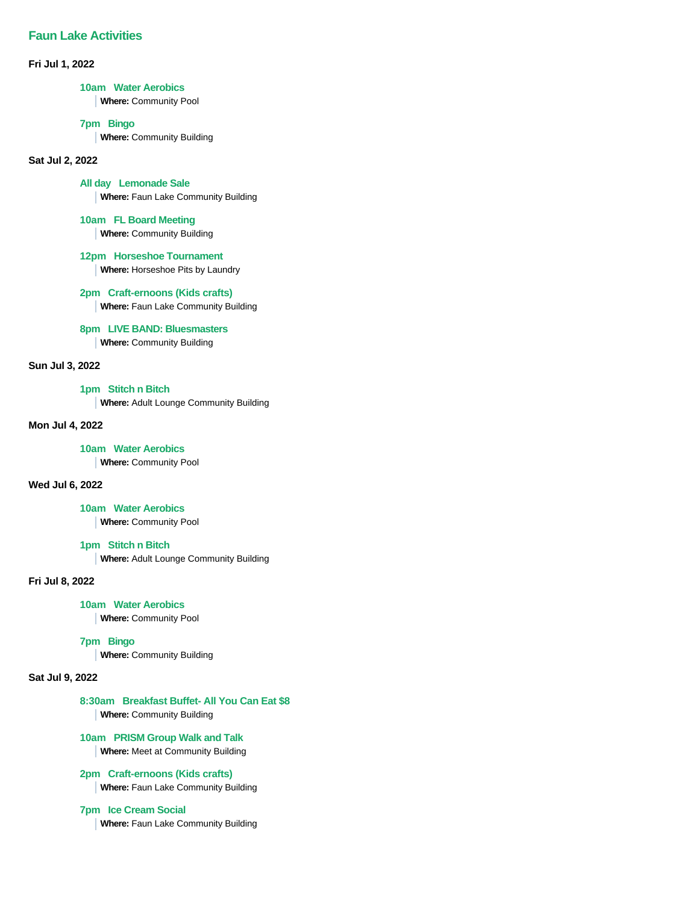## **Faun Lake Activities**

**Fri Jul 1, 2022**

#### **10am Water Aerobics**

**Where:** Community Pool

#### **7pm Bingo**

**Where:** Community Building

### **Sat Jul 2, 2022**

**All day Lemonade Sale**

**Where:** Faun Lake Community Building

## **10am FL Board Meeting**

**Where:** Community Building

## **12pm Horseshoe Tournament**

**Where:** Horseshoe Pits by Laundry

# **2pm Craft-ernoons (Kids crafts)**

**Where:** Faun Lake Community Building

## **8pm LIVE BAND: Bluesmasters**

**Where:** Community Building

## **Sun Jul 3, 2022**

## **1pm Stitch n Bitch**

**Where:** Adult Lounge Community Building

## **Mon Jul 4, 2022**

#### **10am Water Aerobics**

**Where:** Community Pool

## **Wed Jul 6, 2022**

**10am Water Aerobics**

**Where:** Community Pool

## **1pm Stitch n Bitch**

**Where:** Adult Lounge Community Building

## **Fri Jul 8, 2022**

#### **10am Water Aerobics**

**Where:** Community Pool

## **7pm Bingo**

**Where:** Community Building

## **Sat Jul 9, 2022**

# **8:30am Breakfast Buffet- All You Can Eat \$8**

**Where:** Community Building

## **10am PRISM Group Walk and Talk Where:** Meet at Community Building

# **2pm Craft-ernoons (Kids crafts)**

**Where:** Faun Lake Community Building

## **7pm Ice Cream Social**

**Where:** Faun Lake Community Building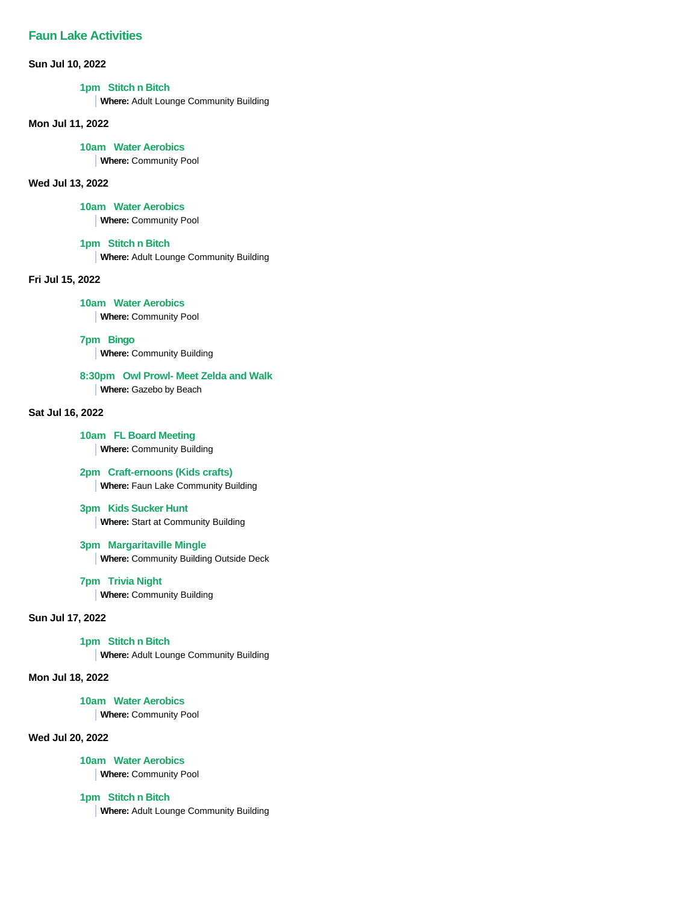# **Faun Lake Activities**

## **Sun Jul 10, 2022**

## **1pm Stitch n Bitch**

**Where:** Adult Lounge Community Building

#### **Mon Jul 11, 2022**

#### **10am Water Aerobics**

**Where:** Community Pool

## **Wed Jul 13, 2022**

## **10am Water Aerobics**

**Where:** Community Pool

## **1pm Stitch n Bitch**

**Where:** Adult Lounge Community Building

## **Fri Jul 15, 2022**

**10am Water Aerobics**

**Where:** Community Pool

**7pm Bingo**

**Where:** Community Building

## **8:30pm Owl Prowl- Meet Zelda and Walk**

**Where:** Gazebo by Beach

## **Sat Jul 16, 2022**

## **10am FL Board Meeting Where:** Community Building

## **2pm Craft-ernoons (Kids crafts)**

**Where:** Faun Lake Community Building

#### **3pm Kids Sucker Hunt**

**Where:** Start at Community Building

## **3pm Margaritaville Mingle**

**Where:** Community Building Outside Deck

#### **7pm Trivia Night**

**Where:** Community Building

## **Sun Jul 17, 2022**

## **1pm Stitch n Bitch**

**Where:** Adult Lounge Community Building

## **Mon Jul 18, 2022**

#### **10am Water Aerobics**

**Where:** Community Pool

#### **Wed Jul 20, 2022**

#### **10am Water Aerobics**

**Where:** Community Pool

## **1pm Stitch n Bitch**

**Where:** Adult Lounge Community Building